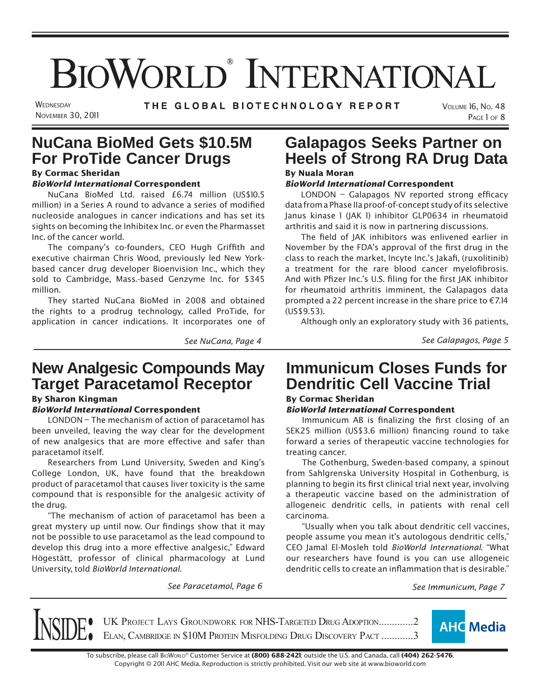# BIOWORLD<sup>®</sup> INTERNATIONAL

**WEDNESDAY NOVEMBER 30, 2011**  THE GLOBAL BIOTECHNOLOGY REPORT

# **NuCana BioMed Gets \$10.5M For ProTide Cancer Drugs**

## By Cormac Sheridan

#### *BioWorld International* Correspondent NuCana BioMed Ltd. raised £6.74 million (US\$10.5

million) in a Series A round to advance a series of modified nucleoside analogues in cancer indications and has set its sights on becoming the Inhibitex Inc. or even the Pharmasset Inc. of the cancer world.

The company's co-founders, CEO Hugh Griffith and executive chairman Chris Wood, previously led New Yorkbased cancer drug developer Bioenvision Inc., which they sold to Cambridge, Mass.-based Genzyme Inc. for \$345 million.

They started NuCana BioMed in 2008 and obtained the rights to a prodrug technology, called ProTide, for application in cancer indications. It incorporates one of

## **New Analgesic Compounds May Target Paracetamol Receptor**

## By Sharon Kingman

#### *BioWorld International* Correspondent

LONDON – The mechanism of action of paracetamol has been unveiled, leaving the way clear for the development of new analgesics that are more effective and safer than paracetamol itself.

Researchers from Lund University, Sweden and King's College London, UK, have found that the breakdown product of paracetamol that causes liver toxicity is the same compound that is responsible for the analgesic activity of the drug.

"The mechanism of action of paracetamol has been a great mystery up until now. Our findings show that it may not be possible to use paracetamol as the lead compound to develop this drug into a more effective analgesic," Edward Högestätt, professor of clinical pharmacology at Lund University, told *BioWorld International*.

## **Galapagos Seeks Partner on Heels of Strong RA Drug Data** By Nuala Moran

#### *BioWorld International* Correspondent

LONDON - Galapagos NV reported strong efficacy data from a Phase IIa proof-of-concept study of its selective Janus kinase 1 (JAK 1) inhibitor GLP0634 in rheumatoid arthritis and said it is now in partnering discussions.

The field of JAK inhibitors was enlivened earlier in November by the FDA's approval of the first drug in the class to reach the market, Incyte Inc.'s Jakafi, (ruxolitinib) a treatment for the rare blood cancer myelofibrosis. And with Pfizer Inc.'s U.S. filing for the first JAK inhibitor for rheumatoid arthritis imminent, the Galapagos data prompted a 22 percent increase in the share price to  $\epsilon$ 7.14 (US\$9.53).

Although only an exploratory study with 36 patients,

*See NuCana, Page 4 See Galapagos, Page 5*

## **Immunicum Closes Funds for Dendritic Cell Vaccine Trial**

## By Cormac Sheridan

#### *BioWorld International* Correspondent

Immunicum AB is finalizing the first closing of an SEK25 million (US\$3.6 million) financing round to take forward a series of therapeutic vaccine technologies for treating cancer.

The Gothenburg, Sweden-based company, a spinout from Sahlgrenska University Hospital in Gothenburg, is planning to begin its first clinical trial next year, involving a therapeutic vaccine based on the administration of allogeneic dendritic cells, in patients with renal cell carcinoma.

"Usually when you talk about dendritic cell vaccines, people assume you mean it's autologous dendritic cells," CEO Jamal El-Mosleh told *BioWorld International*. "What our researchers have found is you can use allogeneic dendritic cells to create an inflammation that is desirable."

*See Paracetamol, Page 6 See Immunicum, Page 7*

UK PROJECT LAYS GROUNDWORK FOR NHS-TARGETED DRUG ADOPTION.............2<br>ELAN, CAMBRIDGE IN \$10M PROTEIN MISFOLDING DRUG DISCOVERY PACT ............3



To subscribe, please call BIOWORLD® Customer Service at (800) 688-2421; outside the U.S. and Canada, call (404) 262-5476. Copyright © 201 1 AHC Media. Reproduction is strictly prohibited. Visit our web site at www.bioworld.com